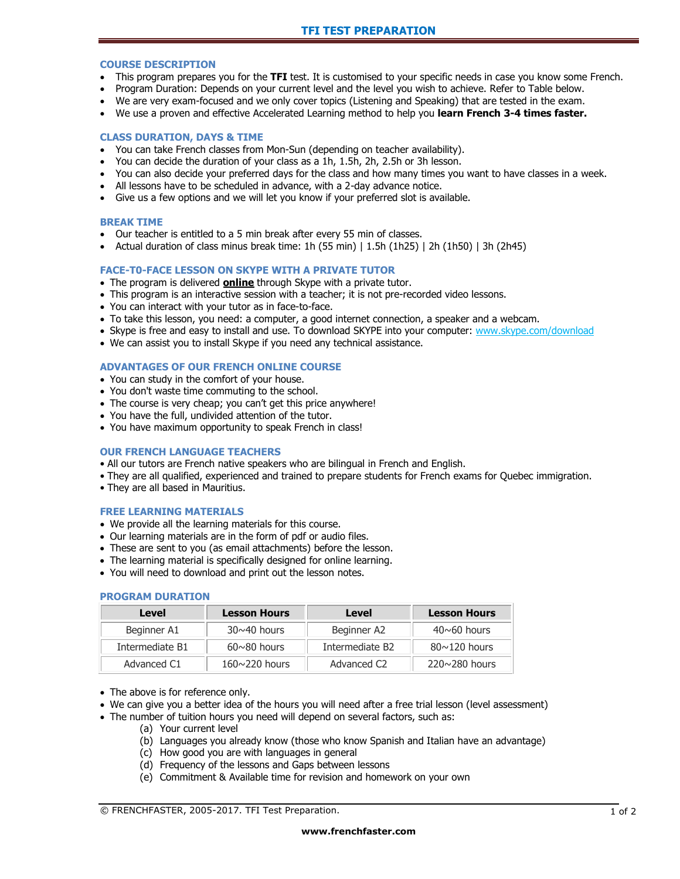### **COURSE DESCRIPTION**

- This program prepares you for the **TFI** test. It is customised to your specific needs in case you know some French.
- Program Duration: Depends on your current level and the level you wish to achieve. Refer to Table below.
- We are very exam-focused and we only cover topics (Listening and Speaking) that are tested in the exam.
- We use a proven and effective Accelerated Learning method to help you **learn French 3-4 times faster.**

## **CLASS DURATION, DAYS & TIME**

- You can take French classes from Mon-Sun (depending on teacher availability).
- You can decide the duration of your class as a 1h, 1.5h, 2h, 2.5h or 3h lesson.
- You can also decide your preferred days for the class and how many times you want to have classes in a week.
- All lessons have to be scheduled in advance, with a 2-day advance notice.
- Give us a few options and we will let you know if your preferred slot is available.

#### **BREAK TIME**

- Our teacher is entitled to a 5 min break after every 55 min of classes.
- Actual duration of class minus break time: 1h (55 min)  $\mid$  1.5h (1h25)  $\mid$  2h (1h50)  $\mid$  3h (2h45)

## **FACE-T0-FACE LESSON ON SKYPE WITH A PRIVATE TUTOR**

- The program is delivered **online** through Skype with a private tutor.
- This program is an interactive session with a teacher; it is not pre-recorded video lessons.
- You can interact with your tutor as in face-to-face.
- To take this lesson, you need: a computer, a good internet connection, a speaker and a webcam.
- Skype is free and easy to install and use. To download SKYPE into your computer: [www.skype.com/download](http://www.skype.com/download)
- We can assist you to install Skype if you need any technical assistance.

#### **ADVANTAGES OF OUR FRENCH ONLINE COURSE**

- You can study in the comfort of your house.
- You don't waste time commuting to the school.
- The course is very cheap; you can't get this price anywhere!
- You have the full, undivided attention of the tutor.
- You have maximum opportunity to speak French in class!

### **OUR FRENCH LANGUAGE TEACHERS**

- All our tutors are French native speakers who are bilingual in French and English.
- They are all qualified, experienced and trained to prepare students for French exams for Quebec immigration.
- They are all based in Mauritius.

#### **FREE LEARNING MATERIALS**

- We provide all the learning materials for this course.
- Our learning materials are in the form of pdf or audio files.
- These are sent to you (as email attachments) before the lesson.
- The learning material is specifically designed for online learning.
- You will need to download and print out the lesson notes.

#### **PROGRAM DURATION**

| Level           | <b>Lesson Hours</b>  | Level                       | <b>Lesson Hours</b>  |
|-----------------|----------------------|-----------------------------|----------------------|
| Beginner A1     | $30 \sim 40$ hours   | Beginner A2                 | $40 \sim 60$ hours   |
| Intermediate B1 | $60 \sim 80$ hours   | Intermediate B <sub>2</sub> | $80 \sim 120$ hours  |
| Advanced C1     | $160 \sim 220$ hours | Advanced C <sub>2</sub>     | $220 \sim 280$ hours |

- The above is for reference only.
- We can give you a better idea of the hours you will need after a free trial lesson (level assessment)
- The number of tuition hours you need will depend on several factors, such as:
	- (a) Your current level
	- (b) Languages you already know (those who know Spanish and Italian have an advantage)
	- (c) How good you are with languages in general
	- (d) Frequency of the lessons and Gaps between lessons
	- (e) Commitment & Available time for revision and homework on your own